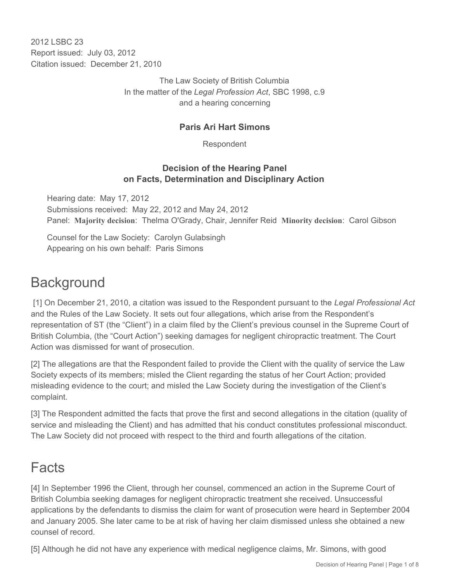2012 LSBC 23 Report issued: July 03, 2012 Citation issued: December 21, 2010

> The Law Society of British Columbia In the matter of the *Legal Profession Act*, SBC 1998, c.9 and a hearing concerning

### **Paris Ari Hart Simons**

Respondent

### **Decision of the Hearing Panel on Facts, Determination and Disciplinary Action**

Hearing date: May 17, 2012 Submissions received: May 22, 2012 and May 24, 2012 Panel: **Majority decision**: Thelma O'Grady, Chair, Jennifer Reid **Minority decision**: Carol Gibson

Counsel for the Law Society: Carolyn Gulabsingh Appearing on his own behalf: Paris Simons

## **Background**

 [1] On December 21, 2010, a citation was issued to the Respondent pursuant to the *Legal Professional Act*  and the Rules of the Law Society. It sets out four allegations, which arise from the Respondent's representation of ST (the "Client") in a claim filed by the Client's previous counsel in the Supreme Court of British Columbia, (the "Court Action") seeking damages for negligent chiropractic treatment. The Court Action was dismissed for want of prosecution.

[2] The allegations are that the Respondent failed to provide the Client with the quality of service the Law Society expects of its members; misled the Client regarding the status of her Court Action; provided misleading evidence to the court; and misled the Law Society during the investigation of the Client's complaint.

[3] The Respondent admitted the facts that prove the first and second allegations in the citation (quality of service and misleading the Client) and has admitted that his conduct constitutes professional misconduct. The Law Society did not proceed with respect to the third and fourth allegations of the citation.

## Facts

[4] In September 1996 the Client, through her counsel, commenced an action in the Supreme Court of British Columbia seeking damages for negligent chiropractic treatment she received. Unsuccessful applications by the defendants to dismiss the claim for want of prosecution were heard in September 2004 and January 2005. She later came to be at risk of having her claim dismissed unless she obtained a new counsel of record.

[5] Although he did not have any experience with medical negligence claims, Mr. Simons, with good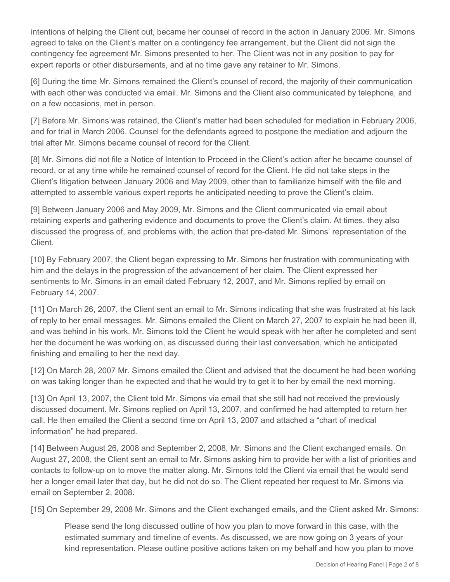intentions of helping the Client out, became her counsel of record in the action in January 2006. Mr. Simons agreed to take on the Client's matter on a contingency fee arrangement, but the Client did not sign the contingency fee agreement Mr. Simons presented to her. The Client was not in any position to pay for expert reports or other disbursements, and at no time gave any retainer to Mr. Simons.

[6] During the time Mr. Simons remained the Client's counsel of record, the majority of their communication with each other was conducted via email. Mr. Simons and the Client also communicated by telephone, and on a few occasions, met in person.

[7] Before Mr. Simons was retained, the Client's matter had been scheduled for mediation in February 2006, and for trial in March 2006. Counsel for the defendants agreed to postpone the mediation and adjourn the trial after Mr. Simons became counsel of record for the Client.

[8] Mr. Simons did not file a Notice of Intention to Proceed in the Client's action after he became counsel of record, or at any time while he remained counsel of record for the Client. He did not take steps in the Client's litigation between January 2006 and May 2009, other than to familiarize himself with the file and attempted to assemble various expert reports he anticipated needing to prove the Client's claim.

[9] Between January 2006 and May 2009, Mr. Simons and the Client communicated via email about retaining experts and gathering evidence and documents to prove the Client's claim. At times, they also discussed the progress of, and problems with, the action that pre-dated Mr. Simons' representation of the Client.

[10] By February 2007, the Client began expressing to Mr. Simons her frustration with communicating with him and the delays in the progression of the advancement of her claim. The Client expressed her sentiments to Mr. Simons in an email dated February 12, 2007, and Mr. Simons replied by email on February 14, 2007.

[11] On March 26, 2007, the Client sent an email to Mr. Simons indicating that she was frustrated at his lack of reply to her email messages. Mr. Simons emailed the Client on March 27, 2007 to explain he had been ill, and was behind in his work. Mr. Simons told the Client he would speak with her after he completed and sent her the document he was working on, as discussed during their last conversation, which he anticipated finishing and emailing to her the next day.

[12] On March 28, 2007 Mr. Simons emailed the Client and advised that the document he had been working on was taking longer than he expected and that he would try to get it to her by email the next morning.

[13] On April 13, 2007, the Client told Mr. Simons via email that she still had not received the previously discussed document. Mr. Simons replied on April 13, 2007, and confirmed he had attempted to return her call. He then emailed the Client a second time on April 13, 2007 and attached a "chart of medical information" he had prepared.

[14] Between August 26, 2008 and September 2, 2008, Mr. Simons and the Client exchanged emails. On August 27, 2008, the Client sent an email to Mr. Simons asking him to provide her with a list of priorities and contacts to follow-up on to move the matter along. Mr. Simons told the Client via email that he would send her a longer email later that day, but he did not do so. The Client repeated her request to Mr. Simons via email on September 2, 2008.

[15] On September 29, 2008 Mr. Simons and the Client exchanged emails, and the Client asked Mr. Simons:

Please send the long discussed outline of how you plan to move forward in this case, with the estimated summary and timeline of events. As discussed, we are now going on 3 years of your kind representation. Please outline positive actions taken on my behalf and how you plan to move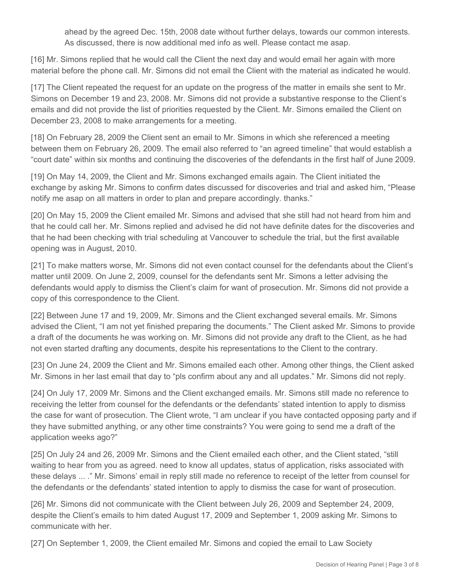ahead by the agreed Dec. 15th, 2008 date without further delays, towards our common interests. As discussed, there is now additional med info as well. Please contact me asap.

[16] Mr. Simons replied that he would call the Client the next day and would email her again with more material before the phone call. Mr. Simons did not email the Client with the material as indicated he would.

[17] The Client repeated the request for an update on the progress of the matter in emails she sent to Mr. Simons on December 19 and 23, 2008. Mr. Simons did not provide a substantive response to the Client's emails and did not provide the list of priorities requested by the Client. Mr. Simons emailed the Client on December 23, 2008 to make arrangements for a meeting.

[18] On February 28, 2009 the Client sent an email to Mr. Simons in which she referenced a meeting between them on February 26, 2009. The email also referred to "an agreed timeline" that would establish a "court date" within six months and continuing the discoveries of the defendants in the first half of June 2009.

[19] On May 14, 2009, the Client and Mr. Simons exchanged emails again. The Client initiated the exchange by asking Mr. Simons to confirm dates discussed for discoveries and trial and asked him, "Please notify me asap on all matters in order to plan and prepare accordingly. thanks."

[20] On May 15, 2009 the Client emailed Mr. Simons and advised that she still had not heard from him and that he could call her. Mr. Simons replied and advised he did not have definite dates for the discoveries and that he had been checking with trial scheduling at Vancouver to schedule the trial, but the first available opening was in August, 2010.

[21] To make matters worse, Mr. Simons did not even contact counsel for the defendants about the Client's matter until 2009. On June 2, 2009, counsel for the defendants sent Mr. Simons a letter advising the defendants would apply to dismiss the Client's claim for want of prosecution. Mr. Simons did not provide a copy of this correspondence to the Client.

[22] Between June 17 and 19, 2009, Mr. Simons and the Client exchanged several emails. Mr. Simons advised the Client, "I am not yet finished preparing the documents." The Client asked Mr. Simons to provide a draft of the documents he was working on. Mr. Simons did not provide any draft to the Client, as he had not even started drafting any documents, despite his representations to the Client to the contrary.

[23] On June 24, 2009 the Client and Mr. Simons emailed each other. Among other things, the Client asked Mr. Simons in her last email that day to "pls confirm about any and all updates." Mr. Simons did not reply.

[24] On July 17, 2009 Mr. Simons and the Client exchanged emails. Mr. Simons still made no reference to receiving the letter from counsel for the defendants or the defendants' stated intention to apply to dismiss the case for want of prosecution. The Client wrote, "I am unclear if you have contacted opposing party and if they have submitted anything, or any other time constraints? You were going to send me a draft of the application weeks ago?"

[25] On July 24 and 26, 2009 Mr. Simons and the Client emailed each other, and the Client stated, "still waiting to hear from you as agreed. need to know all updates, status of application, risks associated with these delays ... ." Mr. Simons' email in reply still made no reference to receipt of the letter from counsel for the defendants or the defendants' stated intention to apply to dismiss the case for want of prosecution.

[26] Mr. Simons did not communicate with the Client between July 26, 2009 and September 24, 2009, despite the Client's emails to him dated August 17, 2009 and September 1, 2009 asking Mr. Simons to communicate with her.

[27] On September 1, 2009, the Client emailed Mr. Simons and copied the email to Law Society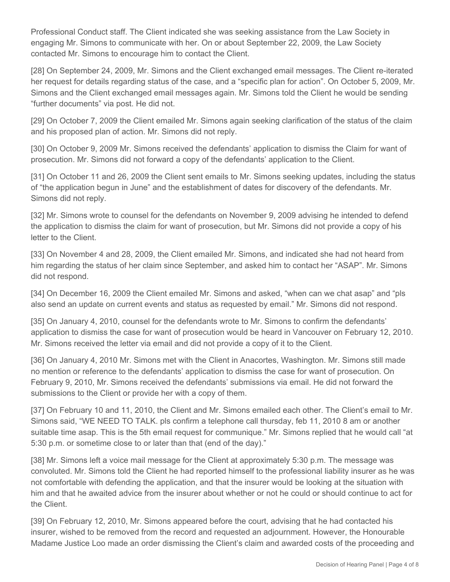Professional Conduct staff. The Client indicated she was seeking assistance from the Law Society in engaging Mr. Simons to communicate with her. On or about September 22, 2009, the Law Society contacted Mr. Simons to encourage him to contact the Client.

[28] On September 24, 2009, Mr. Simons and the Client exchanged email messages. The Client re-iterated her request for details regarding status of the case, and a "specific plan for action". On October 5, 2009, Mr. Simons and the Client exchanged email messages again. Mr. Simons told the Client he would be sending "further documents" via post. He did not.

[29] On October 7, 2009 the Client emailed Mr. Simons again seeking clarification of the status of the claim and his proposed plan of action. Mr. Simons did not reply.

[30] On October 9, 2009 Mr. Simons received the defendants' application to dismiss the Claim for want of prosecution. Mr. Simons did not forward a copy of the defendants' application to the Client.

[31] On October 11 and 26, 2009 the Client sent emails to Mr. Simons seeking updates, including the status of "the application begun in June" and the establishment of dates for discovery of the defendants. Mr. Simons did not reply.

[32] Mr. Simons wrote to counsel for the defendants on November 9, 2009 advising he intended to defend the application to dismiss the claim for want of prosecution, but Mr. Simons did not provide a copy of his letter to the Client.

[33] On November 4 and 28, 2009, the Client emailed Mr. Simons, and indicated she had not heard from him regarding the status of her claim since September, and asked him to contact her "ASAP". Mr. Simons did not respond.

[34] On December 16, 2009 the Client emailed Mr. Simons and asked, "when can we chat asap" and "pls also send an update on current events and status as requested by email." Mr. Simons did not respond.

[35] On January 4, 2010, counsel for the defendants wrote to Mr. Simons to confirm the defendants' application to dismiss the case for want of prosecution would be heard in Vancouver on February 12, 2010. Mr. Simons received the letter via email and did not provide a copy of it to the Client.

[36] On January 4, 2010 Mr. Simons met with the Client in Anacortes, Washington. Mr. Simons still made no mention or reference to the defendants' application to dismiss the case for want of prosecution. On February 9, 2010, Mr. Simons received the defendants' submissions via email. He did not forward the submissions to the Client or provide her with a copy of them.

[37] On February 10 and 11, 2010, the Client and Mr. Simons emailed each other. The Client's email to Mr. Simons said, "WE NEED TO TALK. pls confirm a telephone call thursday, feb 11, 2010 8 am or another suitable time asap. This is the 5th email request for communique." Mr. Simons replied that he would call "at 5:30 p.m. or sometime close to or later than that (end of the day)."

[38] Mr. Simons left a voice mail message for the Client at approximately 5:30 p.m. The message was convoluted. Mr. Simons told the Client he had reported himself to the professional liability insurer as he was not comfortable with defending the application, and that the insurer would be looking at the situation with him and that he awaited advice from the insurer about whether or not he could or should continue to act for the Client.

[39] On February 12, 2010, Mr. Simons appeared before the court, advising that he had contacted his insurer, wished to be removed from the record and requested an adjournment. However, the Honourable Madame Justice Loo made an order dismissing the Client's claim and awarded costs of the proceeding and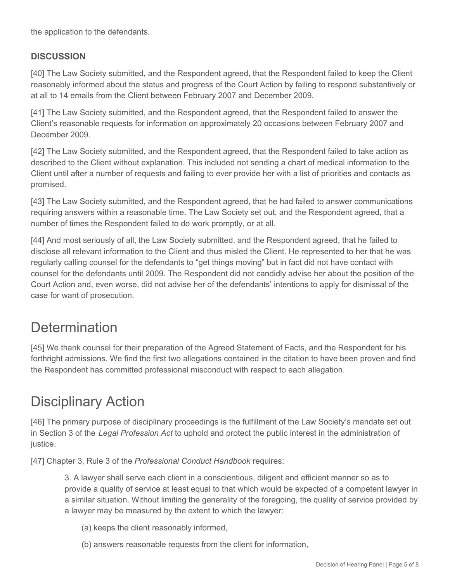the application to the defendants.

#### **DISCUSSION**

[40] The Law Society submitted, and the Respondent agreed, that the Respondent failed to keep the Client reasonably informed about the status and progress of the Court Action by failing to respond substantively or at all to 14 emails from the Client between February 2007 and December 2009.

[41] The Law Society submitted, and the Respondent agreed, that the Respondent failed to answer the Client's reasonable requests for information on approximately 20 occasions between February 2007 and December 2009.

[42] The Law Society submitted, and the Respondent agreed, that the Respondent failed to take action as described to the Client without explanation. This included not sending a chart of medical information to the Client until after a number of requests and failing to ever provide her with a list of priorities and contacts as promised.

[43] The Law Society submitted, and the Respondent agreed, that he had failed to answer communications requiring answers within a reasonable time. The Law Society set out, and the Respondent agreed, that a number of times the Respondent failed to do work promptly, or at all.

[44] And most seriously of all, the Law Society submitted, and the Respondent agreed, that he failed to disclose all relevant information to the Client and thus misled the Client. He represented to her that he was regularly calling counsel for the defendants to "get things moving" but in fact did not have contact with counsel for the defendants until 2009. The Respondent did not candidly advise her about the position of the Court Action and, even worse, did not advise her of the defendants' intentions to apply for dismissal of the case for want of prosecution.

## **Determination**

[45] We thank counsel for their preparation of the Agreed Statement of Facts, and the Respondent for his forthright admissions. We find the first two allegations contained in the citation to have been proven and find the Respondent has committed professional misconduct with respect to each allegation.

# Disciplinary Action

[46] The primary purpose of disciplinary proceedings is the fulfillment of the Law Society's mandate set out in Section 3 of the *Legal Profession Act* to uphold and protect the public interest in the administration of justice.

[47] Chapter 3, Rule 3 of the *Professional Conduct Handbook* requires:

3. A lawyer shall serve each client in a conscientious, diligent and efficient manner so as to provide a quality of service at least equal to that which would be expected of a competent lawyer in a similar situation. Without limiting the generality of the foregoing, the quality of service provided by a lawyer may be measured by the extent to which the lawyer:

- (a) keeps the client reasonably informed,
- (b) answers reasonable requests from the client for information,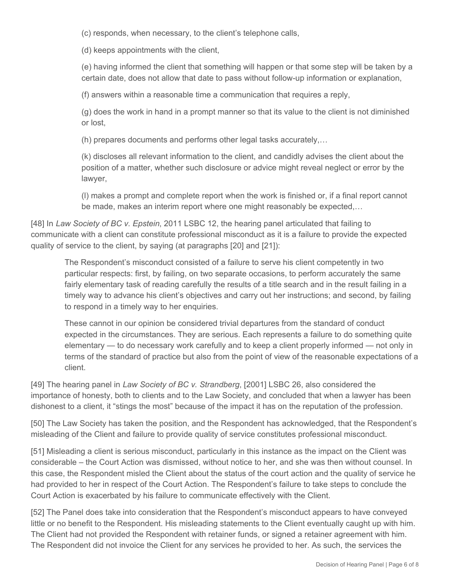(c) responds, when necessary, to the client's telephone calls,

(d) keeps appointments with the client,

(e) having informed the client that something will happen or that some step will be taken by a certain date, does not allow that date to pass without follow-up information or explanation,

(f) answers within a reasonable time a communication that requires a reply,

(g) does the work in hand in a prompt manner so that its value to the client is not diminished or lost,

(h) prepares documents and performs other legal tasks accurately,…

(k) discloses all relevant information to the client, and candidly advises the client about the position of a matter, whether such disclosure or advice might reveal neglect or error by the lawyer,

(l) makes a prompt and complete report when the work is finished or, if a final report cannot be made, makes an interim report where one might reasonably be expected,…

[48] In *Law Society of BC v. Epstein*, 2011 LSBC 12, the hearing panel articulated that failing to communicate with a client can constitute professional misconduct as it is a failure to provide the expected quality of service to the client, by saying (at paragraphs [20] and [21]):

The Respondent's misconduct consisted of a failure to serve his client competently in two particular respects: first, by failing, on two separate occasions, to perform accurately the same fairly elementary task of reading carefully the results of a title search and in the result failing in a timely way to advance his client's objectives and carry out her instructions; and second, by failing to respond in a timely way to her enquiries.

These cannot in our opinion be considered trivial departures from the standard of conduct expected in the circumstances. They are serious. Each represents a failure to do something quite elementary — to do necessary work carefully and to keep a client properly informed — not only in terms of the standard of practice but also from the point of view of the reasonable expectations of a client.

[49] The hearing panel in *Law Society of BC v. Strandberg*, [2001] LSBC 26, also considered the importance of honesty, both to clients and to the Law Society, and concluded that when a lawyer has been dishonest to a client, it "stings the most" because of the impact it has on the reputation of the profession.

[50] The Law Society has taken the position, and the Respondent has acknowledged, that the Respondent's misleading of the Client and failure to provide quality of service constitutes professional misconduct.

[51] Misleading a client is serious misconduct, particularly in this instance as the impact on the Client was considerable – the Court Action was dismissed, without notice to her, and she was then without counsel. In this case, the Respondent misled the Client about the status of the court action and the quality of service he had provided to her in respect of the Court Action. The Respondent's failure to take steps to conclude the Court Action is exacerbated by his failure to communicate effectively with the Client.

[52] The Panel does take into consideration that the Respondent's misconduct appears to have conveyed little or no benefit to the Respondent. His misleading statements to the Client eventually caught up with him. The Client had not provided the Respondent with retainer funds, or signed a retainer agreement with him. The Respondent did not invoice the Client for any services he provided to her. As such, the services the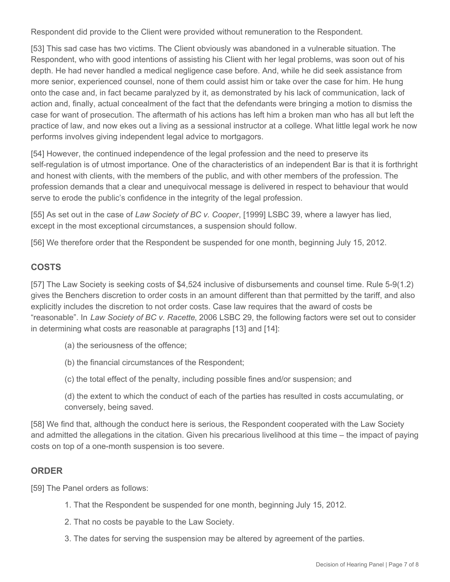Respondent did provide to the Client were provided without remuneration to the Respondent.

[53] This sad case has two victims. The Client obviously was abandoned in a vulnerable situation. The Respondent, who with good intentions of assisting his Client with her legal problems, was soon out of his depth. He had never handled a medical negligence case before. And, while he did seek assistance from more senior, experienced counsel, none of them could assist him or take over the case for him. He hung onto the case and, in fact became paralyzed by it, as demonstrated by his lack of communication, lack of action and, finally, actual concealment of the fact that the defendants were bringing a motion to dismiss the case for want of prosecution. The aftermath of his actions has left him a broken man who has all but left the practice of law, and now ekes out a living as a sessional instructor at a college. What little legal work he now performs involves giving independent legal advice to mortgagors.

[54] However, the continued independence of the legal profession and the need to preserve its self-regulation is of utmost importance. One of the characteristics of an independent Bar is that it is forthright and honest with clients, with the members of the public, and with other members of the profession. The profession demands that a clear and unequivocal message is delivered in respect to behaviour that would serve to erode the public's confidence in the integrity of the legal profession.

[55] As set out in the case of *Law Society of BC v. Cooper*, [1999] LSBC 39, where a lawyer has lied, except in the most exceptional circumstances, a suspension should follow.

[56] We therefore order that the Respondent be suspended for one month, beginning July 15, 2012.

## **COSTS**

[57] The Law Society is seeking costs of \$4,524 inclusive of disbursements and counsel time. Rule 5-9(1.2) gives the Benchers discretion to order costs in an amount different than that permitted by the tariff, and also explicitly includes the discretion to not order costs. Case law requires that the award of costs be "reasonable". In *Law Society of BC v. Racette*, 2006 LSBC 29, the following factors were set out to consider in determining what costs are reasonable at paragraphs [13] and [14]:

- (a) the seriousness of the offence;
- (b) the financial circumstances of the Respondent;
- (c) the total effect of the penalty, including possible fines and/or suspension; and
- (d) the extent to which the conduct of each of the parties has resulted in costs accumulating, or conversely, being saved.

[58] We find that, although the conduct here is serious, the Respondent cooperated with the Law Society and admitted the allegations in the citation. Given his precarious livelihood at this time – the impact of paying costs on top of a one-month suspension is too severe.

## **ORDER**

[59] The Panel orders as follows:

- 1. That the Respondent be suspended for one month, beginning July 15, 2012.
- 2. That no costs be payable to the Law Society.
- 3. The dates for serving the suspension may be altered by agreement of the parties.